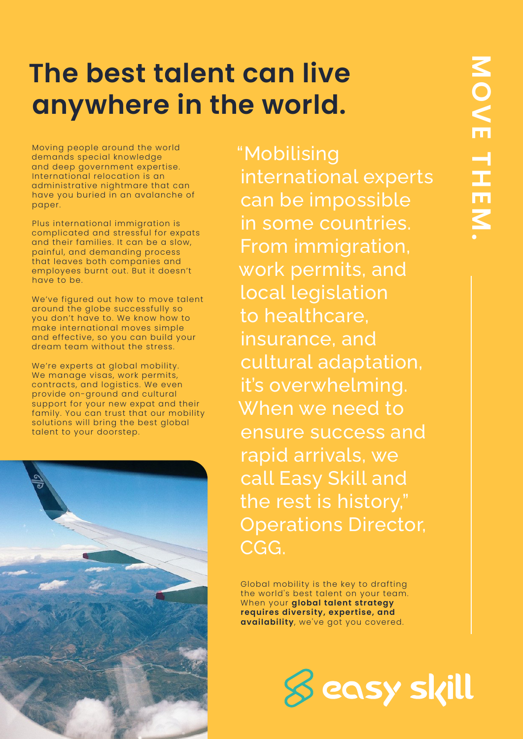# **The best talent can live anywhere in the world.**

Moving people around the world demands special knowledge and deep government expertise. International relocation is an administrative nightmare that can have you buried in an avalanche of paper.

Plus international immigration is complicated and stressful for expats and their families. It can be a slow, painful, and demanding process that leaves both companies and employees burnt out. But it doesn't have to be.

We've figured out how to move talent around the globe successfully so you don't have to. We know how to make international moves simple and effective, so you can build your dream team without the stress.

We're experts at global mobility. We manage visas, work permits, contracts, and logistics. We even provide on-ground and cultural support for your new expat and their family. You can trust that our mobility solutions will bring the best global talent to your doorstep.



"Mobilising international experts can be impossible in some countries. From immigration, work permits, and local legislation to healthcare, insurance, and cultural adaptation, it's overwhelming. When we need to ensure success and rapid arrivals, we call Easy Skill and the rest is history," Operations Director, CGG.

Global mobility is the key to drafting the world's best talent on your team. When your **global talent strategy requires diversity, expertise, and availability**, we've got you covered.